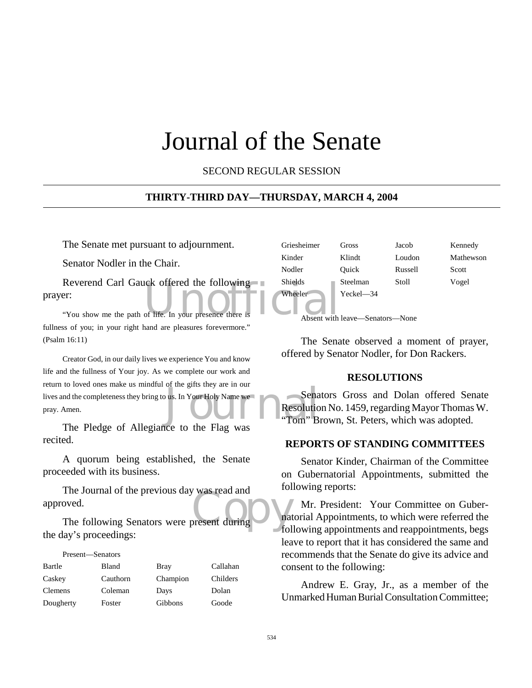# Journal of the Senate

SECOND REGULAR SESSION

#### **THIRTY-THIRD DAY—THURSDAY, MARCH 4, 2004**

The Senate met pursuant to adjournment.

Senator Nodler in the Chair.

Reverend Carl Gauck offered the following<br>
The Shields<br>
The Wheeler<br>
The Wheeler<br>
The Wheeler<br>
Absent with prayer:

"You show me the path of life. In your presence there i fullness of you; in your right hand are pleasures forevermore." (Psalm 16:11)

Sena<br>
Jus. In Your Holy Name we<br>
Tom" B Creator God, in our daily lives we experience You and know life and the fullness of Your joy. As we complete our work and return to loved ones make us mindful of the gifts they are in our lives and the completeness they bring to us. In Your Holy Name we pray. Amen.

The Pledge of Allegiance to the Flag was recited.

A quorum being established, the Senate proceeded with its business.

The Journal of the previous day was read and<br>
oved.<br>
The following Senators were present during The Journal of the previous day was read and approved.

the day's proceedings:

| Present—Senators |          |          |          |
|------------------|----------|----------|----------|
| Bartle           | Bland    | Bray     | Callahan |
| Caskey           | Cauthorn | Champion | Childers |
| Clemens          | Coleman  | Days     | Dolan    |
| Dougherty        | Foster   | Gibbons  | Goode    |

| Griesheimer | Gross          | Jacob   | Kennedy   |
|-------------|----------------|---------|-----------|
| Kinder      | Klindt         | Loudon  | Mathewson |
| Nodler      | Ouick          | Russell | Scott     |
| Shields     | Steelman       | Stoll   | Vogel     |
| Wheeler     | $Yeckel$ $-34$ |         |           |

Absent with leave—Senators—None

The Senate observed a moment of prayer, offered by Senator Nodler, for Don Rackers.

#### **RESOLUTIONS**

Senators Gross and Dolan offered Senate Resolution No. 1459, regarding Mayor Thomas W. "Tom" Brown, St. Peters, which was adopted.

## **REPORTS OF STANDING COMMITTEES**

Senator Kinder, Chairman of the Committee on Gubernatorial Appointments, submitted the following reports:

Mr. President: Your Committee on Gubernatorial Appointments, to which were referred the following appointments and reappointments, begs leave to report that it has considered the same and recommends that the Senate do give its advice and consent to the following:

Andrew E. Gray, Jr., as a member of the Unmarked Human Burial Consultation Committee;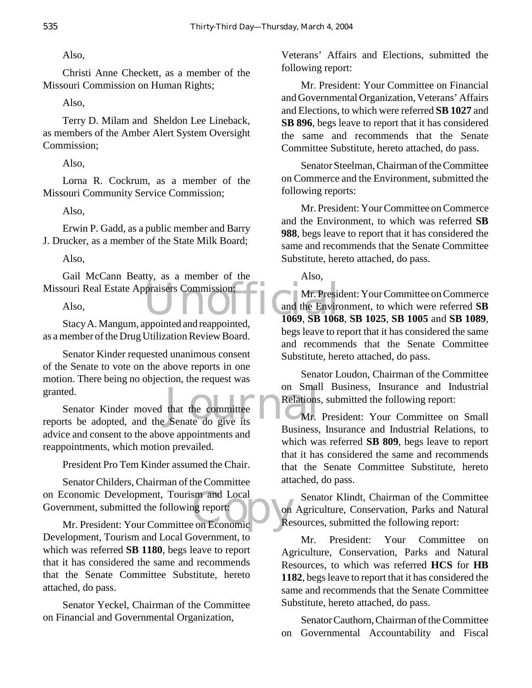Also,

Christi Anne Checkett, as a member of the Missouri Commission on Human Rights;

Also,

Terry D. Milam and Sheldon Lee Lineback, as members of the Amber Alert System Oversight Commission;

Also,

Lorna R. Cockrum, as a member of the Missouri Community Service Commission;

Also,

Erwin P. Gadd, as a public member and Barry J. Drucker, as a member of the State Milk Board;

Also,

Missouri Real Estate Appraisers Commission;<br>Also,<br>Stagy A Mangum appointed and reappointed<br>1069, SB 1068 Gail McCann Beatty, as a member of the

Also,

Stacy A. Mangum, appointed and reappointed, as a member of the Drug Utilization Review Board.

Senator Kinder requested unanimous consent of the Senate to vote on the above reports in one motion. There being no objection, the request was granted.

granted. On Small<br>
Senator Kinder moved that the committee<br>
reports be adopted, and the Senate do give its Senator Kinder moved that the committee advice and consent to the above appointments and reappointments, which motion prevailed.

President Pro Tem Kinder assumed the Chair.

on Economic Development, Tourism and Local<br>
Government, submitted the following report:<br>
Mr. President: Your Committee on Economic Senator Childers, Chairman of the Committee Government, submitted the following report:

Mr. President: Your Committee on Economic Development, Tourism and Local Government, to which was referred **SB 1180**, begs leave to report that it has considered the same and recommends that the Senate Committee Substitute, hereto attached, do pass.

Senator Yeckel, Chairman of the Committee on Financial and Governmental Organization,

Veterans' Affairs and Elections, submitted the following report:

Mr. President: Your Committee on Financial and Governmental Organization, Veterans' Affairs and Elections, to which were referred **SB 1027** and **SB 896**, begs leave to report that it has considered the same and recommends that the Senate Committee Substitute, hereto attached, do pass.

Senator Steelman, Chairman of the Committee on Commerce and the Environment, submitted the following reports:

Mr. President: Your Committee on Commerce and the Environment, to which was referred **SB 988**, begs leave to report that it has considered the same and recommends that the Senate Committee Substitute, hereto attached, do pass.

Also,

Mr. President: Your Committee on Commerce and the Environment, to which were referred **SB 1069**, **SB 1068**, **SB 1025**, **SB 1005** and **SB 1089**, begs leave to report that it has considered the same and recommends that the Senate Committee Substitute, hereto attached, do pass.

Senator Loudon, Chairman of the Committee on Small Business, Insurance and Industrial Relations, submitted the following report:

Mr. President: Your Committee on Small Business, Insurance and Industrial Relations, to which was referred **SB 809**, begs leave to report that it has considered the same and recommends that the Senate Committee Substitute, hereto attached, do pass.

Senator Klindt, Chairman of the Committee on Agriculture, Conservation, Parks and Natural Resources, submitted the following report:

Mr. President: Your Committee on Agriculture, Conservation, Parks and Natural Resources, to which was referred **HCS** for **HB 1182**, begs leave to report that it has considered the same and recommends that the Senate Committee Substitute, hereto attached, do pass.

Senator Cauthorn, Chairman of the Committee on Governmental Accountability and Fiscal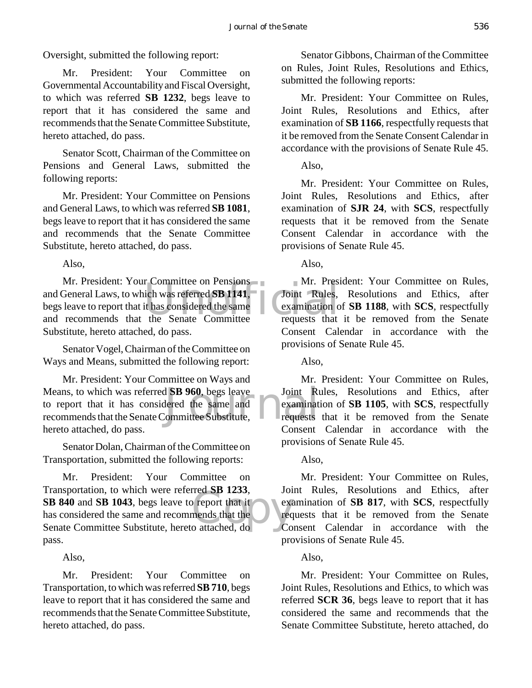Oversight, submitted the following report:

Mr. President: Your Committee on Governmental Accountability and Fiscal Oversight, to which was referred **SB 1232**, begs leave to report that it has considered the same and recommends that the Senate Committee Substitute, hereto attached, do pass.

Senator Scott, Chairman of the Committee on Pensions and General Laws, submitted the following reports:

Mr. President: Your Committee on Pensions and General Laws, to which was referred **SB 1081**, begs leave to report that it has considered the same and recommends that the Senate Committee Substitute, hereto attached, do pass.

Also,

Mr. President: Your Committee on Pensions<br>and General Laws, to which was referred SB 1141, Joint Rules,<br>begs leave to report that it has considered the same<br>and recommends that the Senate Committee requests that Mr. President: Your Committee on Pensions and General Laws, to which was referred **SB 1141**, begs leave to report that it has considered the same Substitute, hereto attached, do pass.

Senator Vogel, Chairman of the Committee on Ways and Means, submitted the following report:

Means, to which was referred **SB 960**, begs leave Joint Ru<br>to report that it has considered the same and recommends that the Senate Committee Substitute, Mr. President: Your Committee on Ways and Means, to which was referred **SB 960**, begs leave to report that it has considered the same and hereto attached, do pass.

Senator Dolan, Chairman of the Committee on Transportation, submitted the following reports:

The Subset of that it<br>
The point of that it<br>
contracted, do Co Mr. President: Your Committee on Transportation, to which were referred **SB 1233**, **SB 840** and **SB 1043**, begs leave to report that it has considered the same and recommends that the Senate Committee Substitute, hereto attached, do pass.

Also,

Mr. President: Your Committee on Transportation, to which was referred **SB 710**, begs leave to report that it has considered the same and recommends that the Senate Committee Substitute, hereto attached, do pass.

Senator Gibbons, Chairman of the Committee on Rules, Joint Rules, Resolutions and Ethics, submitted the following reports:

Mr. President: Your Committee on Rules, Joint Rules, Resolutions and Ethics, after examination of **SB 1166**, respectfully requests that it be removed from the Senate Consent Calendar in accordance with the provisions of Senate Rule 45.

Also,

Mr. President: Your Committee on Rules, Joint Rules, Resolutions and Ethics, after examination of **SJR 24**, with **SCS**, respectfully requests that it be removed from the Senate Consent Calendar in accordance with the provisions of Senate Rule 45.

Also,

Mr. President: Your Committee on Rules, Joint Rules, Resolutions and Ethics, after examination of **SB 1188**, with **SCS**, respectfully requests that it be removed from the Senate Consent Calendar in accordance with the provisions of Senate Rule 45.

Also,

Mr. President: Your Committee on Rules, Joint Rules, Resolutions and Ethics, after examination of **SB 1105**, with **SCS**, respectfully requests that it be removed from the Senate Consent Calendar in accordance with the provisions of Senate Rule 45.

Also,

Mr. President: Your Committee on Rules, Joint Rules, Resolutions and Ethics, after examination of **SB 817**, with **SCS**, respectfully requests that it be removed from the Senate Consent Calendar in accordance with the provisions of Senate Rule 45.

# Also,

Mr. President: Your Committee on Rules, Joint Rules, Resolutions and Ethics, to which was referred **SCR 36**, begs leave to report that it has considered the same and recommends that the Senate Committee Substitute, hereto attached, do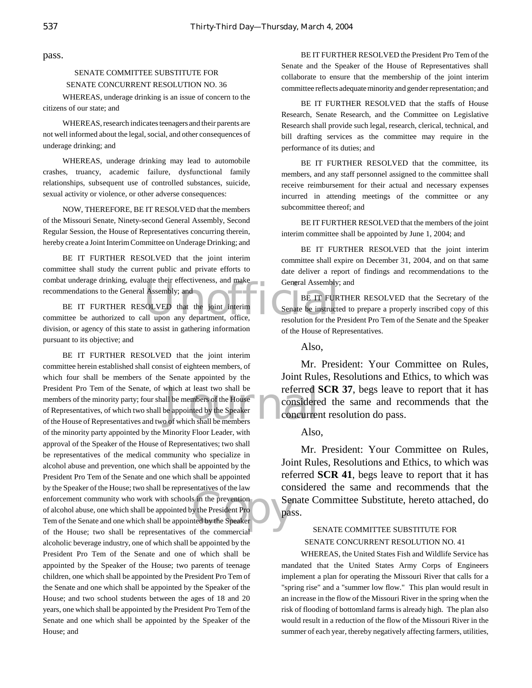pass.

#### SENATE COMMITTEE SUBSTITUTE FOR SENATE CONCURRENT RESOLUTION NO. 36

WHEREAS, underage drinking is an issue of concern to the citizens of our state; and

WHEREAS, research indicates teenagers and their parents are not well informed about the legal, social, and other consequences of underage drinking; and

WHEREAS, underage drinking may lead to automobile crashes, truancy, academic failure, dysfunctional family relationships, subsequent use of controlled substances, suicide, sexual activity or violence, or other adverse consequences:

NOW, THEREFORE, BE IT RESOLVED that the members of the Missouri Senate, Ninety-second General Assembly, Second Regular Session, the House of Representatives concurring therein, hereby create a Joint Interim Committee on Underage Drinking; and

BE IT FURTHER RESOLVED that the joint interim committee shall study the current public and private efforts to combat underage drinking, evaluate their effectiveness, and make recommendations to the General Assembly; and

General Assembly; and<br>
Solved that the joint interim<br>
Senate be instructed<br>
Senate be instructed<br>
Senate be instructed<br>
Senate be instructed<br>
Senate be instructed<br>
Senate be instructed<br>
Senate be instructed<br>
Senate be inst BE IT FURTHER RESOLVED that the joint interim committee be authorized to call upon any department, office, division, or agency of this state to assist in gathering information pursuant to its objective; and

which at least two shall be<br>
ll be members of the House<br>
be appointed by the Speaker<br>
of which shall be members<br>  $\bigcirc$  of which shall be members Solution<br>
Service President Propose<br>
Service d by the Speaker<br>
Service d by the Speaker<br>
Service Drawing Proposes BE IT FURTHER RESOLVED that the joint interim committee herein established shall consist of eighteen members, of which four shall be members of the Senate appointed by the President Pro Tem of the Senate, of which at least two shall be members of the minority party; four shall be members of the House of Representatives, of which two shall be appointed by the Speaker of the House of Representatives and two of which shall be members of the minority party appointed by the Minority Floor Leader, with approval of the Speaker of the House of Representatives; two shall be representatives of the medical community who specialize in alcohol abuse and prevention, one which shall be appointed by the President Pro Tem of the Senate and one which shall be appointed by the Speaker of the House; two shall be representatives of the law enforcement community who work with schools in the prevention of alcohol abuse, one which shall be appointed by the President Pro Tem of the Senate and one which shall be appointed by the Speaker of the House; two shall be representatives of the commercial alcoholic beverage industry, one of which shall be appointed by the President Pro Tem of the Senate and one of which shall be appointed by the Speaker of the House; two parents of teenage children, one which shall be appointed by the President Pro Tem of the Senate and one which shall be appointed by the Speaker of the House; and two school students between the ages of 18 and 20 years, one which shall be appointed by the President Pro Tem of the Senate and one which shall be appointed by the Speaker of the House; and

BE IT FURTHER RESOLVED the President Pro Tem of the Senate and the Speaker of the House of Representatives shall collaborate to ensure that the membership of the joint interim committee reflects adequate minority and gender representation; and

BE IT FURTHER RESOLVED that the staffs of House Research, Senate Research, and the Committee on Legislative Research shall provide such legal, research, clerical, technical, and bill drafting services as the committee may require in the performance of its duties; and

BE IT FURTHER RESOLVED that the committee, its members, and any staff personnel assigned to the committee shall receive reimbursement for their actual and necessary expenses incurred in attending meetings of the committee or any subcommittee thereof; and

BE IT FURTHER RESOLVED that the members of the joint interim committee shall be appointed by June 1, 2004; and

BE IT FURTHER RESOLVED that the joint interim committee shall expire on December 31, 2004, and on that same date deliver a report of findings and recommendations to the General Assembly; and

BE IT FURTHER RESOLVED that the Secretary of the Senate be instructed to prepare a properly inscribed copy of this resolution for the President Pro Tem of the Senate and the Speaker of the House of Representatives.

Also,

Mr. President: Your Committee on Rules, Joint Rules, Resolutions and Ethics, to which was referred **SCR 37**, begs leave to report that it has considered the same and recommends that the concurrent resolution do pass.

Also,

Mr. President: Your Committee on Rules, Joint Rules, Resolutions and Ethics, to which was referred **SCR 41**, begs leave to report that it has considered the same and recommends that the Senate Committee Substitute, hereto attached, do pass.

#### SENATE COMMITTEE SUBSTITUTE FOR SENATE CONCURRENT RESOLUTION NO. 41

WHEREAS, the United States Fish and Wildlife Service has mandated that the United States Army Corps of Engineers implement a plan for operating the Missouri River that calls for a "spring rise" and a "summer low flow." This plan would result in an increase in the flow of the Missouri River in the spring when the risk of flooding of bottomland farms is already high. The plan also would result in a reduction of the flow of the Missouri River in the summer of each year, thereby negatively affecting farmers, utilities,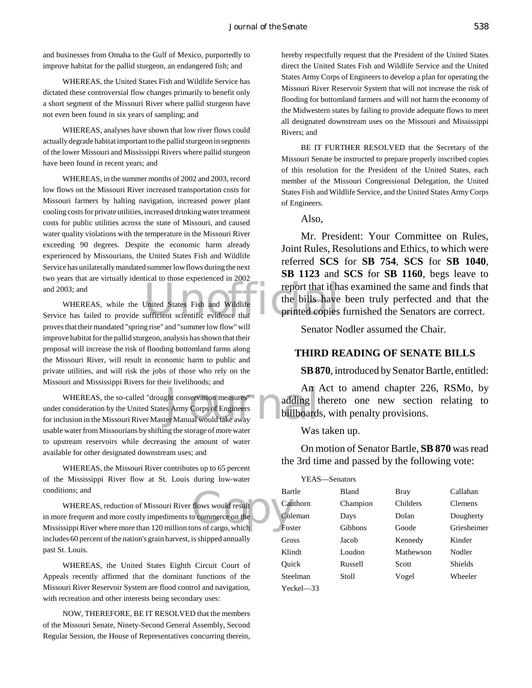and businesses from Omaha to the Gulf of Mexico, purportedly to improve habitat for the pallid sturgeon, an endangered fish; and

WHEREAS, the United States Fish and Wildlife Service has dictated these controversial flow changes primarily to benefit only a short segment of the Missouri River where pallid sturgeon have not even been found in six years of sampling; and

WHEREAS, analyses have shown that low river flows could actually degrade habitat important to the pallid sturgeon in segments of the lower Missouri and Mississippi Rivers where pallid sturgeon have been found in recent years; and

WHEREAS, in the summer months of 2002 and 2003, record low flows on the Missouri River increased transportation costs for Missouri farmers by halting navigation, increased power plant cooling costs for private utilities, increased drinking water treatment costs for public utilities across the state of Missouri, and caused water quality violations with the temperature in the Missouri River exceeding 90 degrees. Despite the economic harm already experienced by Missourians, the United States Fish and Wildlife Service has unilaterally mandated summer low flows during the next two years that are virtually identical to those experienced in 2002 and 2003; and

The United States Fish and Wildlife The bills have<br>Service has failed to provide sufficient scientific evidence that<br>Service has failed to provide sufficient scientific evidence that WHEREAS, while the United States Fish and Wildlife proves that their mandated "spring rise" and "summer low flow" will improve habitat for the pallid sturgeon, analysis has shown that their proposal will increase the risk of flooding bottomland farms along the Missouri River, will result in economic harm to public and private utilities, and will risk the jobs of those who rely on the Missouri and Mississippi Rivers for their livelihoods; and

Journal WHEREAS, the so-called "drought conservation measures" under consideration by the United States Army Corps of Engineers for inclusion in the Missouri River Master Manual would take away usable water from Missourians by shifting the storage of more water to upstream reservoirs while decreasing the amount of water available for other designated downstream uses; and

WHEREAS, the Missouri River contributes up to 65 percent of the Mississippi River flow at St. Louis during low-water conditions; and

Bar<br>
flows would result<br>
commerce on the<br>
colors of cargo, which<br>
Fos WHEREAS, reduction of Missouri River flows would result in more frequent and more costly impediments to commerce on the Mississippi River where more than 120 million tons of cargo, which includes 60 percent of the nation's grain harvest, is shipped annually past St. Louis.

WHEREAS, the United States Eighth Circuit Court of Appeals recently affirmed that the dominant functions of the Missouri River Reservoir System are flood control and navigation, with recreation and other interests being secondary uses:

NOW, THEREFORE, BE IT RESOLVED that the members of the Missouri Senate, Ninety-Second General Assembly, Second Regular Session, the House of Representatives concurring therein, hereby respectfully request that the President of the United States direct the United States Fish and Wildlife Service and the United States Army Corps of Engineers to develop a plan for operating the Missouri River Reservoir System that will not increase the risk of flooding for bottomland farmers and will not harm the economy of the Midwestern states by failing to provide adequate flows to meet all designated downstream uses on the Missouri and Mississippi Rivers; and

BE IT FURTHER RESOLVED that the Secretary of the Missouri Senate be instructed to prepare properly inscribed copies of this resolution for the President of the United States, each member of the Missouri Congressional Delegation, the United States Fish and Wildlife Service, and the United States Army Corps of Engineers.

Also,

Mr. President: Your Committee on Rules, Joint Rules, Resolutions and Ethics, to which were referred **SCS** for **SB 754**, **SCS** for **SB 1040**, **SB 1123** and **SCS** for **SB 1160**, begs leave to report that it has examined the same and finds that the bills have been truly perfected and that the printed copies furnished the Senators are correct.

Senator Nodler assumed the Chair.

#### **THIRD READING OF SENATE BILLS**

#### **SB 870**, introduced by Senator Bartle, entitled:

An Act to amend chapter 226, RSMo, by adding thereto one new section relating to billboards, with penalty provisions.

Was taken up.

On motion of Senator Bartle, **SB 870** was read the 3rd time and passed by the following vote:

| YEAS—Senators |               |              |           |                |  |
|---------------|---------------|--------------|-----------|----------------|--|
|               | Bartle        | <b>Bland</b> | Bray      | Callahan       |  |
| Cauthorn      |               | Champion     | Childers  | <b>Clemens</b> |  |
| Coleman       | Dolan<br>Days |              | Dougherty |                |  |
|               | Foster        | Gibbons      | Goode     | Griesheimer    |  |
|               | Gross         | Jacob        | Kennedy   | Kinder         |  |
|               | Klindt        | Loudon       | Mathewson | Nodler         |  |
|               | Ouick         | Russell      | Scott     | Shields        |  |
|               | Steelman      | Stoll        | Vogel     | Wheeler        |  |
|               | Yeckel—33     |              |           |                |  |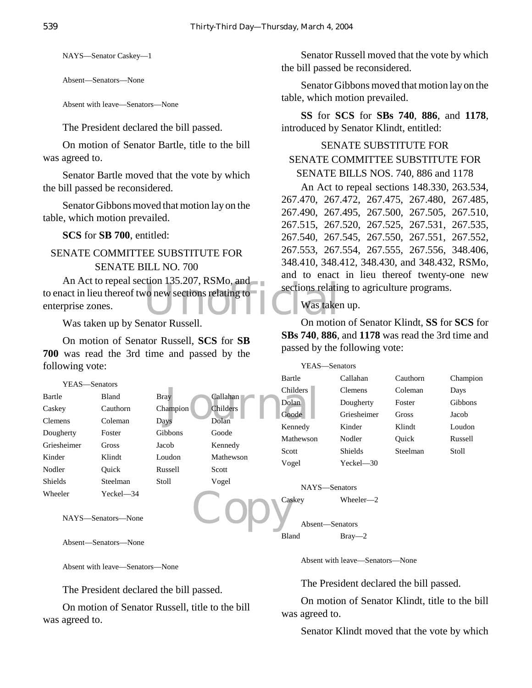NAYS—Senator Caskey—1

Absent—Senators—None

Absent with leave—Senators—None

The President declared the bill passed.

On motion of Senator Bartle, title to the bill was agreed to.

Senator Bartle moved that the vote by which the bill passed be reconsidered.

Senator Gibbons moved that motion lay on the table, which motion prevailed.

**SCS** for **SB 700**, entitled:

# SENATE COMMITTEE SUBSTITUTE FOR SENATE BILL NO. 700

vo new sections relating to<br>vo new sections relating to<br>was taken An Act to repeal section 135.207, RSMo, and to enact in lieu thereof two new sections relating to enterprise zones.

Was taken up by Senator Russell.

On motion of Senator Russell, **SCS** for **SB 700** was read the 3rd time and passed by the following vote:

Senator Russell moved that the vote by which the bill passed be reconsidered.

Senator Gibbons moved that motion lay on the table, which motion prevailed.

**SS** for **SCS** for **SBs 740**, **886**, and **1178**, introduced by Senator Klindt, entitled:

## SENATE SUBSTITUTE FOR SENATE COMMITTEE SUBSTITUTE FOR SENATE BILLS NOS. 740, 886 and 1178

An Act to repeal sections 148.330, 263.534, 267.470, 267.472, 267.475, 267.480, 267.485, 267.490, 267.495, 267.500, 267.505, 267.510, 267.515, 267.520, 267.525, 267.531, 267.535, 267.540, 267.545, 267.550, 267.551, 267.552, 267.553, 267.554, 267.555, 267.556, 348.406, 348.410, 348.412, 348.430, and 348.432, RSMo, and to enact in lieu thereof twenty-one new sections relating to agriculture programs.

## Was taken up.

On motion of Senator Klindt, **SS** for **SCS** for **SBs 740**, **886**, and **1178** was read the 3rd time and passed by the following vote:

| following vote:                                |               |                | YEAS—Senators |                       |                              |          |          |
|------------------------------------------------|---------------|----------------|---------------|-----------------------|------------------------------|----------|----------|
|                                                | YEAS-Senators |                |               | Bartle                | Callahan                     | Cauthorn | Champion |
|                                                |               |                |               | Childers <sup>-</sup> | <b>Clemens</b>               | Coleman  | Days     |
| Bartle                                         | <b>Bland</b>  | <b>Bray</b>    | Callahan      | Dolan                 | Dougherty                    | Foster   | Gibbons  |
| Caskey                                         | Cauthorn      | Champion       | Childers      | Goode                 | Griesheimer                  | Gross    | Jacob    |
| Clemens                                        | Coleman       | <b>Days</b>    | Dolan         | Kennedy               | Kinder                       | Klindt   | Loudon   |
| Dougherty                                      | Foster        | <b>Gibbons</b> | Goode         | Mathewson             | Nodler                       | Ouick    | Russell  |
| Griesheimer                                    | Gross         | Jacob          | Kennedy       | Scott                 | <b>Shields</b>               | Steelman | Stoll    |
| Kinder                                         | Klindt        | Loudon         | Mathewson     |                       |                              |          |          |
| Nodler                                         | Ouick         | Russell        | Scott         | Vogel                 | Yeckel-30                    |          |          |
| Shields                                        | Steelman      | Stoll          | Vogel         |                       | NAYS-Senators                |          |          |
| Wheeler<br>$Yeckel - 34$<br>NAYS—Senators—None |               |                |               | Caskey                | Wheeler-2<br>Absent-Senators |          |          |
|                                                |               |                |               | Bland                 | $Bray -2$                    |          |          |

Absent—Senators—None

Absent with leave—Senators—None

The President declared the bill passed.

On motion of Senator Russell, title to the bill was agreed to.

Absent with leave—Senators—None

The President declared the bill passed.

On motion of Senator Klindt, title to the bill was agreed to.

Senator Klindt moved that the vote by which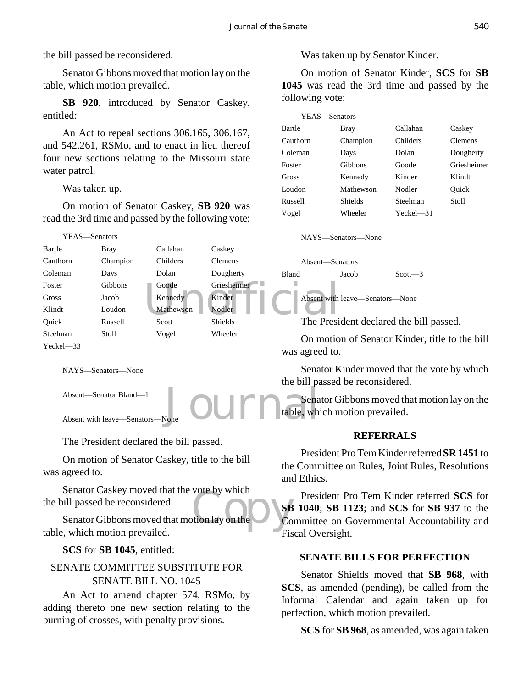the bill passed be reconsidered.

Senator Gibbons moved that motion lay on the table, which motion prevailed.

**SB 920**, introduced by Senator Caskey, entitled:

An Act to repeal sections 306.165, 306.167, and 542.261, RSMo, and to enact in lieu thereof four new sections relating to the Missouri state water patrol.

Was taken up.

On motion of Senator Caskey, **SB 920** was read the 3rd time and passed by the following vote:



NAYS—Senators—None

Absent—Senator Bland—1

Absent with leave—Senators-

The President declared the bill passed.

On motion of Senator Caskey, title to the bill was agreed to.

Senator Caskey moved that the vote by which the bill passed be reconsidered.

Vote by which<br>tion lay on the Co Senator Gibbons moved that motion lay on the table, which motion prevailed.

**SCS** for **SB 1045**, entitled:

# SENATE COMMITTEE SUBSTITUTE FOR SENATE BILL NO. 1045

An Act to amend chapter 574, RSMo, by adding thereto one new section relating to the burning of crosses, with penalty provisions.

Was taken up by Senator Kinder.

On motion of Senator Kinder, **SCS** for **SB 1045** was read the 3rd time and passed by the following vote:

| YEAS—Senators |                |             |                |
|---------------|----------------|-------------|----------------|
| Bartle        | Bray           | Callahan    | Caskey         |
| Cauthorn      | Champion       | Childers    | <b>Clemens</b> |
| Coleman       | Days           | Dolan       | Dougherty      |
| Foster        | Gibbons        | Goode       | Griesheimer    |
| Gross         | Kennedy        | Kinder      | Klindt         |
| Loudon        | Mathewson      | Nodler      | Ouick          |
| Russell       | <b>Shields</b> | Steelman    | Stoll          |
| Vogel         | Wheeler        | $Yech = 31$ |                |

The President declared the bill passed.

On motion of Senator Kinder, title to the bill

Senator Kinder moved that the vote by which the bill passed be reconsidered.

Journale, which Senator Gibbons moved that motion lay on the table, which motion prevailed.

## **REFERRALS**

President Pro Tem Kinder referred **SR 1451** to the Committee on Rules, Joint Rules, Resolutions and Ethics.

President Pro Tem Kinder referred **SCS** for **SB 1040**; **SB 1123**; and **SCS** for **SB 937** to the Committee on Governmental Accountability and Fiscal Oversight.

## **SENATE BILLS FOR PERFECTION**

Senator Shields moved that **SB 968**, with **SCS**, as amended (pending), be called from the Informal Calendar and again taken up for perfection, which motion prevailed.

**SCS** for **SB 968**, as amended, was again taken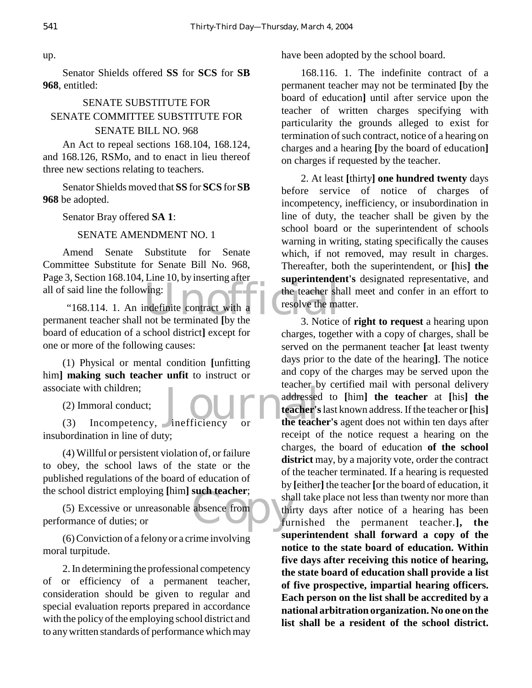Senator Shields offered **SS** for **SCS** for **SB 968**, entitled:

# SENATE SUBSTITUTE FOR SENATE COMMITTEE SUBSTITUTE FOR SENATE BILL NO. 968

An Act to repeal sections 168.104, 168.124, and 168.126, RSMo, and to enact in lieu thereof three new sections relating to teachers.

Senator Shields moved that **SS** for **SCS** for **SB 968** be adopted.

Senator Bray offered **SA 1**:

# SENATE AMENDMENT NO. 1

Amend Senate Substitute for Senate Committee Substitute for Senate Bill No. 968, Page 3, Section 168.104, Line 10, by inserting after all of said line the following:

wing:<br>
wing:<br>
mdefinite contract with a<br>
not be terminated (by the<br>
3 Notice "168.114. 1. An indefinite contract with a permanent teacher shall not be terminated **[**by the board of education of a school district**]** except for one or more of the following causes:

(1) Physical or mental condition **[**unfitting him**] making such teacher unfit** to instruct or associate with children;

(2) Immoral conduct;

(3) Incompetency, inefficiency or insubordination in line of duty;

(4) Willful or persistent violation of, or failure to obey, the school laws of the state or the published regulations of the board of education of the school district employing **[**him**] such teacher**;

such teacher;<br>absence from this full (5) Excessive or unreasonable absence from performance of duties; or

(6) Conviction of a felony or a crime involving moral turpitude.

2. In determining the professional competency of or efficiency of a permanent teacher, consideration should be given to regular and special evaluation reports prepared in accordance with the policy of the employing school district and to any written standards of performance which may

have been adopted by the school board.

168.116. 1. The indefinite contract of a permanent teacher may not be terminated **[**by the board of education**]** until after service upon the teacher of written charges specifying with particularity the grounds alleged to exist for termination of such contract, notice of a hearing on charges and a hearing **[**by the board of education**]** on charges if requested by the teacher.

2. At least **[**thirty**] one hundred twenty** days before service of notice of charges of incompetency, inefficiency, or insubordination in line of duty, the teacher shall be given by the school board or the superintendent of schools warning in writing, stating specifically the causes which, if not removed, may result in charges. Thereafter, both the superintendent, or **[**his**] the superintendent's** designated representative, and the teacher shall meet and confer in an effort to resolve the matter.

Journal deter's 3. Notice of **right to request** a hearing upon charges, together with a copy of charges, shall be served on the permanent teacher **[**at least twenty days prior to the date of the hearing**]**. The notice and copy of the charges may be served upon the teacher by certified mail with personal delivery addressed to **[**him**] the teacher** at **[**his**] the teacher's** last known address. If the teacher or **[**his**] the teacher's** agent does not within ten days after receipt of the notice request a hearing on the charges, the board of education **of the school** district may, by a majority vote, order the contract of the teacher terminated. If a hearing is requested by **[**either**]** the teacher **[**or the board of education, it shall take place not less than twenty nor more than thirty days after notice of a hearing has been furnished the permanent teacher.**], the superintendent shall forward a copy of the notice to the state board of education. Within five days after receiving this notice of hearing, the state board of education shall provide a list of five prospective, impartial hearing officers. Each person on the list shall be accredited by a national arbitration organization. No one on the list shall be a resident of the school district.**

up.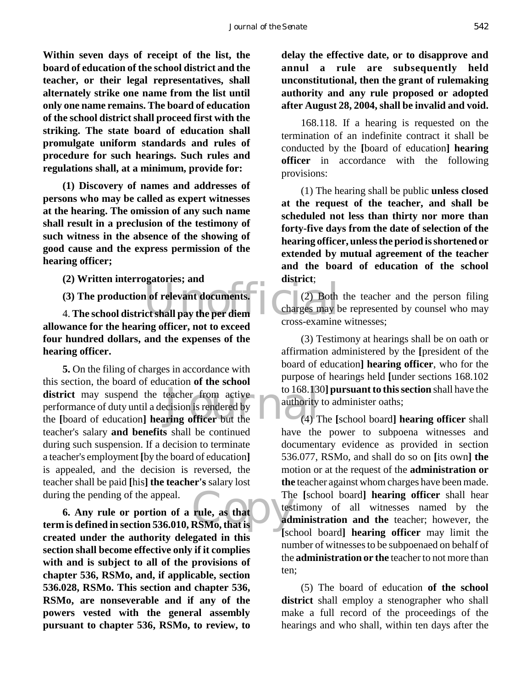**Within seven days of receipt of the list, the board of education of the school district and the teacher, or their legal representatives, shall alternately strike one name from the list until only one name remains. The board of education of the school district shall proceed first with the striking. The state board of education shall promulgate uniform standards and rules of procedure for such hearings. Such rules and regulations shall, at a minimum, provide for:**

**(1) Discovery of names and addresses of persons who may be called as expert witnesses at the hearing. The omission of any such name shall result in a preclusion of the testimony of such witness in the absence of the showing of good cause and the express permission of the hearing officer;**

**(2) Written interrogatories; and**

**(3) The production of relevant documents.**

4. **The school district shall pay the per diem allowance for the hearing officer, not to exceed four hundred dollars, and the expenses of the hearing officer.**

district may suspend the teacher from active<br>performance of duty until a decision is rendered by<br>the [board of education] **hearing officer** but the (4) T **5.** On the filing of charges in accordance with this section, the board of education **of the school** performance of duty until a decision is rendered by the **[**board of education**] hearing officer** but the teacher's salary **and benefits** shall be continued during such suspension. If a decision to terminate a teacher's employment **[**by the board of education**]** is appealed, and the decision is reversed, the teacher shall be paid **[**his**] the teacher's** salary lost during the pending of the appeal.

Th<br>
Tule, as that<br>
RSMo, that is **6. Any rule or portion of a rule, as that term is defined in section 536.010, RSMo, that is created under the authority delegated in this section shall become effective only if it complies with and is subject to all of the provisions of chapter 536, RSMo, and, if applicable, section 536.028, RSMo. This section and chapter 536, RSMo, are nonseverable and if any of the powers vested with the general assembly pursuant to chapter 536, RSMo, to review, to**

**delay the effective date, or to disapprove and annul a rule are subsequently held unconstitutional, then the grant of rulemaking authority and any rule proposed or adopted after August 28, 2004, shall be invalid and void.**

168.118. If a hearing is requested on the termination of an indefinite contract it shall be conducted by the **[**board of education**] hearing officer** in accordance with the following provisions:

(1) The hearing shall be public **unless closed at the request of the teacher, and shall be scheduled not less than thirty nor more than forty-five days from the date of selection of the hearing officer, unless the period is shortened or extended by mutual agreement of the teacher and the board of education of the school district**;

1 of relevant documents.<br>
Let shall pay the per diem (2) Both the teacher and the person filing charges may be represented by counsel who may cross-examine witnesses;

> (3) Testimony at hearings shall be on oath or affirmation administered by the **[**president of the board of education**] hearing officer**, who for the purpose of hearings held **[**under sections 168.102 to 168.130**] pursuant to this section** shall have the authority to administer oaths;

> (4) The **[**school board**] hearing officer** shall have the power to subpoena witnesses and documentary evidence as provided in section 536.077, RSMo, and shall do so on **[**its own**] the** motion or at the request of the **administration or the** teacher against whom charges have been made. The **[**school board**] hearing officer** shall hear testimony of all witnesses named by the **administration and the** teacher; however, the **[**school board**] hearing officer** may limit the number of witnesses to be subpoenaed on behalf of the **administration or the** teacher to not more than ten;

> (5) The board of education **of the school district** shall employ a stenographer who shall make a full record of the proceedings of the hearings and who shall, within ten days after the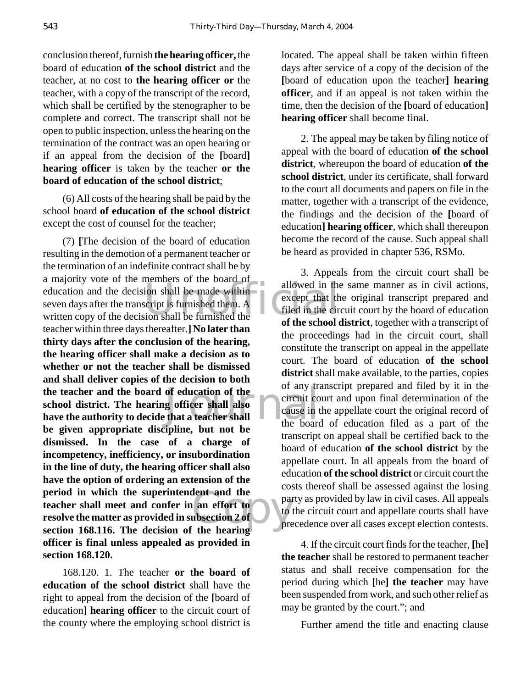conclusion thereof, furnish **the hearing officer,** the board of education **of the school district** and the teacher, at no cost to **the hearing officer or** the teacher, with a copy of the transcript of the record, which shall be certified by the stenographer to be complete and correct. The transcript shall not be open to public inspection, unless the hearing on the termination of the contract was an open hearing or if an appeal from the decision of the **[**board**] hearing officer** is taken by the teacher **or the board of education of the school district**;

(6) All costs of the hearing shall be paid by the school board **of education of the school district** except the cost of counsel for the teacher;

a majority vote of the members of the board of<br>
education and the decision shall be made within<br>
seven days after the transcript is furnished them. A<br>
written copy of the decision shall be furnished the<br>
of the school the teacher and the board of education of the<br>
school district. The hearing officer shall also<br>
have the authority to decide that a teacher shall<br>
the board example<br>
an effort to<br>
ubsection 2 of<br>
the hearing<br>
the hearing (7) **[**The decision of the board of education resulting in the demotion of a permanent teacher or the termination of an indefinite contract shall be by a majority vote of the members of the board of seven days after the transcript is furnished them. A written copy of the decision shall be furnished the teacher within three days thereafter.**] No later than thirty days after the conclusion of the hearing, the hearing officer shall make a decision as to whether or not the teacher shall be dismissed and shall deliver copies of the decision to both school district. The hearing officer shall also have the authority to decide that a teacher shall be given appropriate discipline, but not be dismissed. In the case of a charge of incompetency, inefficiency, or insubordination in the line of duty, the hearing officer shall also have the option of ordering an extension of the period in which the superintendent and the teacher shall meet and confer in an effort to resolve the matter as provided in subsection 2 of section 168.116. The decision of the hearing officer is final unless appealed as provided in section 168.120.**

168.120. 1. The teacher **or the board of education of the school district** shall have the right to appeal from the decision of the **[**board of education**] hearing officer** to the circuit court of the county where the employing school district is

located. The appeal shall be taken within fifteen days after service of a copy of the decision of the **[**board of education upon the teacher**] hearing officer**, and if an appeal is not taken within the time, then the decision of the **[**board of education**] hearing officer** shall become final.

2. The appeal may be taken by filing notice of appeal with the board of education **of the school district**, whereupon the board of education **of the school district**, under its certificate, shall forward to the court all documents and papers on file in the matter, together with a transcript of the evidence, the findings and the decision of the **[**board of education**] hearing officer**, which shall thereupon become the record of the cause. Such appeal shall be heard as provided in chapter 536, RSMo.

3. Appeals from the circuit court shall be allowed in the same manner as in civil actions, except that the original transcript prepared and filed in the circuit court by the board of education **of the school district**, together with a transcript of the proceedings had in the circuit court, shall constitute the transcript on appeal in the appellate court. The board of education **of the school** district shall make available, to the parties, copies of any transcript prepared and filed by it in the circuit court and upon final determination of the cause in the appellate court the original record of the board of education filed as a part of the transcript on appeal shall be certified back to the board of education **of the school district** by the appellate court. In all appeals from the board of education **of the school district** or circuit court the costs thereof shall be assessed against the losing party as provided by law in civil cases. All appeals to the circuit court and appellate courts shall have precedence over all cases except election contests.

4. If the circuit court finds for the teacher, **[**he**] the teacher** shall be restored to permanent teacher status and shall receive compensation for the period during which **[**he**] the teacher** may have been suspended from work, and such other relief as may be granted by the court."; and

Further amend the title and enacting clause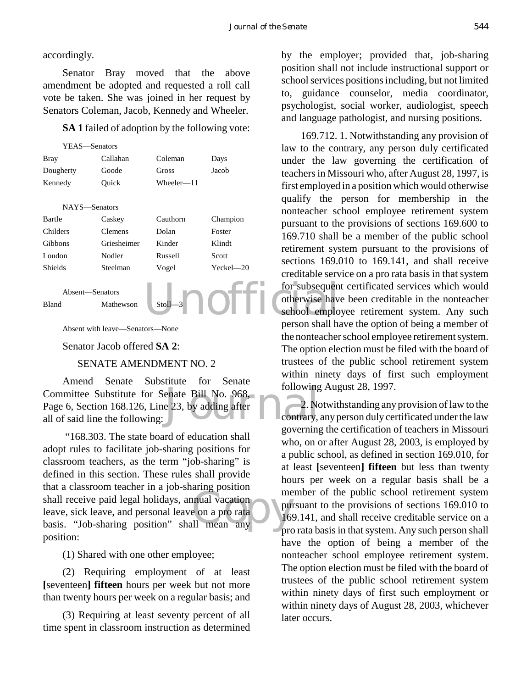## accordingly.

Senator Bray moved that the above amendment be adopted and requested a roll call vote be taken. She was joined in her request by Senators Coleman, Jacob, Kennedy and Wheeler.

**SA 1** failed of adoption by the following vote:



Absent with leave—Senators—None

Senator Jacob offered **SA 2**:

## SENATE AMENDMENT NO. 2

Committee Substitute for Senate Bill No. 968,<br>Page 6, Section 168.126, Line 23, by adding after all of said line the following: Amend Senate Substitute for Senate Page 6, Section 168.126, Line 23, by adding after all of said line the following:

Shall receive paid legal holidays, annual vacation<br>
leave, sick leave, and personal leave on a pro rata<br>
basis. "Job-sharing position" shall mean any "168.303. The state board of education shall adopt rules to facilitate job-sharing positions for classroom teachers, as the term "job-sharing" is defined in this section. These rules shall provide that a classroom teacher in a job-sharing position leave, sick leave, and personal leave on a pro rata basis. "Job-sharing position" shall mean any position:

(1) Shared with one other employee;

(2) Requiring employment of at least **[**seventeen**] fifteen** hours per week but not more than twenty hours per week on a regular basis; and

(3) Requiring at least seventy percent of all time spent in classroom instruction as determined

by the employer; provided that, job-sharing position shall not include instructional support or school services positions including, but not limited to, guidance counselor, media coordinator, psychologist, social worker, audiologist, speech and language pathologist, and nursing positions.

169.712. 1. Notwithstanding any provision of law to the contrary, any person duly certificated under the law governing the certification of teachers in Missouri who, after August 28, 1997, is first employed in a position which would otherwise qualify the person for membership in the nonteacher school employee retirement system pursuant to the provisions of sections 169.600 to 169.710 shall be a member of the public school retirement system pursuant to the provisions of sections 169.010 to 169.141, and shall receive creditable service on a pro rata basis in that system for subsequent certificated services which would otherwise have been creditable in the nonteacher school employee retirement system. Any such person shall have the option of being a member of the nonteacher school employee retirement system. The option election must be filed with the board of trustees of the public school retirement system within ninety days of first such employment following August 28, 1997.

2. Notwithstanding any provision of law to the contrary, any person duly certificated under the law governing the certification of teachers in Missouri who, on or after August 28, 2003, is employed by a public school, as defined in section 169.010, for at least **[**seventeen**] fifteen** but less than twenty hours per week on a regular basis shall be a member of the public school retirement system pursuant to the provisions of sections 169.010 to 169.141, and shall receive creditable service on a pro rata basis in that system. Any such person shall have the option of being a member of the nonteacher school employee retirement system. The option election must be filed with the board of trustees of the public school retirement system within ninety days of first such employment or within ninety days of August 28, 2003, whichever later occurs.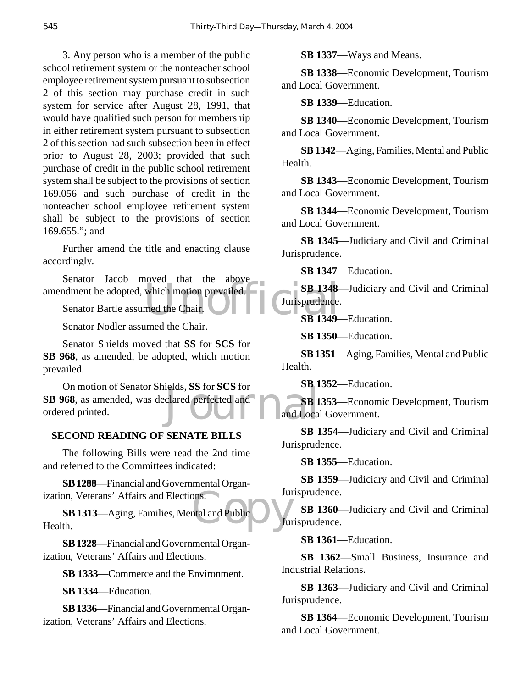3. Any person who is a member of the public school retirement system or the nonteacher school employee retirement system pursuant to subsection 2 of this section may purchase credit in such system for service after August 28, 1991, that would have qualified such person for membership in either retirement system pursuant to subsection 2 of this section had such subsection been in effect prior to August 28, 2003; provided that such purchase of credit in the public school retirement system shall be subject to the provisions of section 169.056 and such purchase of credit in the nonteacher school employee retirement system shall be subject to the provisions of section 169.655."; and

Further amend the title and enacting clause accordingly.

Senator Bartle assumed the Chair.<br>
Senator Bartle assumed the Chair.<br>
Surisprudence.<br>
Surisprudence. Senator Jacob moved that the above

Senator Bartle assumed the Chair.

Senator Nodler assumed the Chair.

Senator Shields moved that **SS** for **SCS** for **SB 968**, as amended, be adopted, which motion prevailed.

elds, SS for SCS for<br>clared perfected and<br>and Local<br>and Local On motion of Senator Shields, **SS** for **SCS** for **SB 968**, as amended, was declared perfected and ordered printed.

## **SECOND READING OF SENATE BILLS**

The following Bills were read the 2nd time and referred to the Committees indicated:

**SB 1288**—Financial and Governmental Organization, Veterans' Affairs and Elections.

bons.<br>Intal and Public **SB 1313**—Aging, Families, Mental and Public Health.

**SB 1328**—Financial and Governmental Organization, Veterans' Affairs and Elections.

**SB 1333**—Commerce and the Environment.

**SB 1334**—Education.

**SB 1336**—Financial and Governmental Organization, Veterans' Affairs and Elections.

**SB 1337**—Ways and Means.

**SB 1338**—Economic Development, Tourism and Local Government.

**SB 1339**—Education.

**SB 1340**—Economic Development, Tourism and Local Government.

**SB 1342**—Aging, Families, Mental and Public Health.

**SB 1343**—Economic Development, Tourism and Local Government.

**SB 1344**—Economic Development, Tourism and Local Government.

**SB 1345**—Judiciary and Civil and Criminal Jurisprudence.

**SB 1347**—Education.

**SB 1348**—Judiciary and Civil and Criminal Jurisprudence.

**SB 1349**—Education.

**SB 1350**—Education.

**SB 1351**—Aging, Families, Mental and Public Health.

**SB 1352**—Education.

**SB 1353**—Economic Development, Tourism and Local Government.

**SB 1354**—Judiciary and Civil and Criminal Jurisprudence.

**SB 1355**—Education.

**SB 1359**—Judiciary and Civil and Criminal Jurisprudence.

**SB 1360**—Judiciary and Civil and Criminal Jurisprudence.

**SB 1361**—Education.

**SB 1362**—Small Business, Insurance and Industrial Relations.

**SB 1363**—Judiciary and Civil and Criminal Jurisprudence.

**SB 1364**—Economic Development, Tourism and Local Government.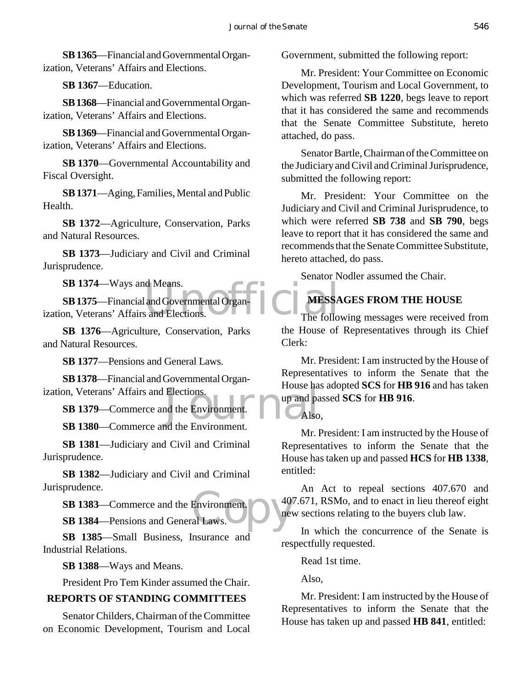**SB 1365**—Financial and Governmental Organization, Veterans' Affairs and Elections.

**SB 1367**—Education.

**SB 1368**—Financial and Governmental Organization, Veterans' Affairs and Elections.

**SB 1369**—Financial and Governmental Organization, Veterans' Affairs and Elections.

**SB 1370**—Governmental Accountability and Fiscal Oversight.

**SB 1371**—Aging, Families, Mental and Public Health.

**SB 1372**—Agriculture, Conservation, Parks and Natural Resources.

**SB 1373**—Judiciary and Civil and Criminal Jurisprudence.

**SB 1374**—Ways and Means.

Example 1 and Governmental Organ The Follo **SB 1375**—Financial and Governmental Organization, Veterans' Affairs and Elections.

**SB 1376**—Agriculture, Conservation, Parks and Natural Resources.

**SB 1377**—Pensions and General Laws.

Elections.<br>
In the Environment.<br>
The Environment and the Environment **SB 1378**—Financial and Governmental Organization, Veterans' Affairs and Elections.

**SB 1379**—Commerce and the Environment.

**SB 1380**—Commerce and the Environment.

**SB 1381**—Judiciary and Civil and Criminal Jurisprudence.

**SB 1382**—Judiciary and Civil and Criminal Jurisprudence.

Environment. **SB 1383**—Commerce and the Environment.

**SB 1384**—Pensions and General Laws.

**SB 1385**—Small Business, Insurance and Industrial Relations.

**SB 1388**—Ways and Means.

President Pro Tem Kinder assumed the Chair.

## **REPORTS OF STANDING COMMITTEES**

Senator Childers, Chairman of the Committee on Economic Development, Tourism and Local Government, submitted the following report:

Mr. President: Your Committee on Economic Development, Tourism and Local Government, to which was referred **SB 1220**, begs leave to report that it has considered the same and recommends that the Senate Committee Substitute, hereto attached, do pass.

Senator Bartle, Chairman of the Committee on the Judiciary and Civil and Criminal Jurisprudence, submitted the following report:

Mr. President: Your Committee on the Judiciary and Civil and Criminal Jurisprudence, to which were referred **SB 738** and **SB 790**, begs leave to report that it has considered the same and recommends that the Senate Committee Substitute, hereto attached, do pass.

Senator Nodler assumed the Chair.

## **MESSAGES FROM THE HOUSE**

The following messages were received from the House of Representatives through its Chief Clerk:

Mr. President: I am instructed by the House of Representatives to inform the Senate that the House has adopted **SCS** for **HB 916** and has taken up and passed **SCS** for **HB 916**.

Also,

Mr. President: I am instructed by the House of Representatives to inform the Senate that the House has taken up and passed **HCS** for **HB 1338**, entitled:

An Act to repeal sections 407.670 and 407.671, RSMo, and to enact in lieu thereof eight new sections relating to the buyers club law.

In which the concurrence of the Senate is respectfully requested.

Read 1st time.

Also,

Mr. President: I am instructed by the House of Representatives to inform the Senate that the House has taken up and passed **HB 841**, entitled: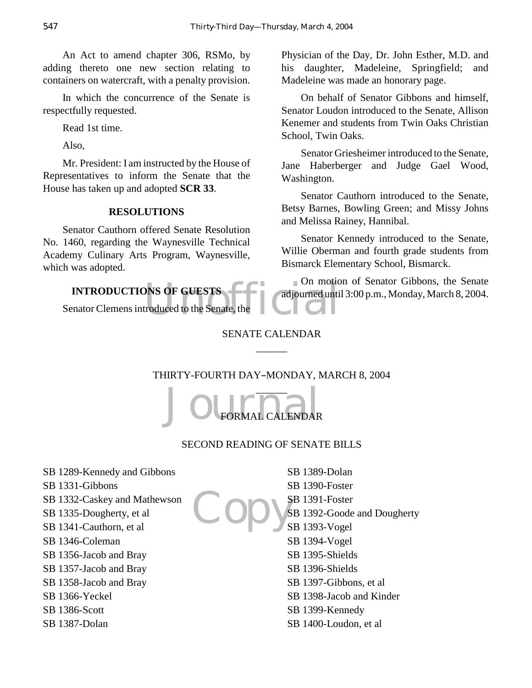An Act to amend chapter 306, RSMo, by adding thereto one new section relating to containers on watercraft, with a penalty provision.

In which the concurrence of the Senate is respectfully requested.

Read 1st time.

Also,

Mr. President: I am instructed by the House of Representatives to inform the Senate that the House has taken up and adopted **SCR 33**.

## **RESOLUTIONS**

Senator Cauthorn offered Senate Resolution No. 1460, regarding the Waynesville Technical Academy Culinary Arts Program, Waynesville, which was adopted.

DNS OF GUESTS<br>troduced to the Senate, the **INTRODUCTIONS OF GUESTS** Senator Clemens introduced to the Senate, the

Physician of the Day, Dr. John Esther, M.D. and his daughter, Madeleine, Springfield; and Madeleine was made an honorary page.

On behalf of Senator Gibbons and himself, Senator Loudon introduced to the Senate, Allison Kenemer and students from Twin Oaks Christian School, Twin Oaks.

Senator Griesheimer introduced to the Senate, Jane Haberberger and Judge Gael Wood, Washington.

Senator Cauthorn introduced to the Senate, Betsy Barnes, Bowling Green; and Missy Johns and Melissa Rainey, Hannibal.

Senator Kennedy introduced to the Senate, Willie Oberman and fourth grade students from Bismarck Elementary School, Bismarck.

On motion of Senator Gibbons, the Senate adjourned until 3:00 p.m., Monday, March 8, 2004.

# SENATE CALENDAR  $\overline{\phantom{a}}$

# THIRTY-FOURTH DAY-MONDAY, MARCH 8, 2004



# SECOND READING OF SENATE BILLS

- SB 1289-Kennedy and Gibbons SB 1331-Gibbons SB 1332-Caskey and Mathewson
- SB 1335-Dougherty, et al
- SB 1341-Cauthorn, et al
- 
- SB 1346-Coleman
- SB 1356-Jacob and Bray
- SB 1357-Jacob and Bray
- SB 1358-Jacob and Bray
- SB 1366-Yeckel
- SB 1386-Scott
- SB 1387-Dolan
- SB 1389-Dolan
- SB 1390-Foster
- SB 1391-Foster
- Copy's SB 1392-Goode and Dougherty
	- SB 1393-Vogel
	- SB 1394-Vogel
	- SB 1395-Shields
	- SB 1396-Shields
	- SB 1397-Gibbons, et al
	- SB 1398-Jacob and Kinder
	- SB 1399-Kennedy
	- SB 1400-Loudon, et al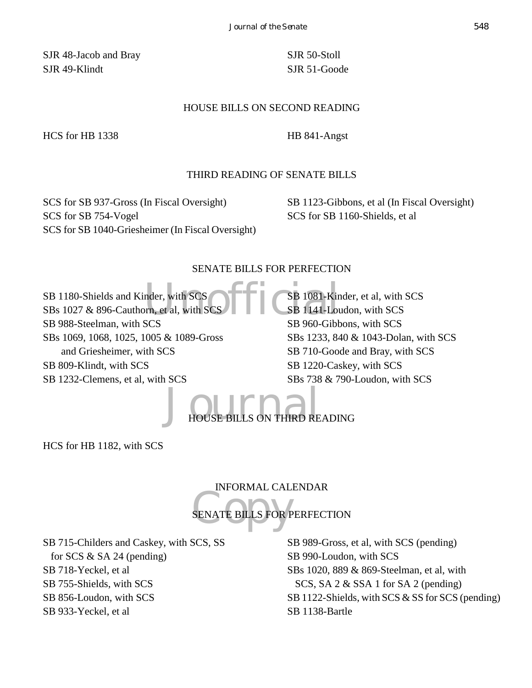SJR 48-Jacob and Bray SJR 49-Klindt

SJR 50-Stoll SJR 51-Goode

#### HOUSE BILLS ON SECOND READING

HCS for HB 1338 HB 841-Angst

## THIRD READING OF SENATE BILLS

SCS for SB 937-Gross (In Fiscal Oversight) SCS for SB 754-Vogel SCS for SB 1040-Griesheimer (In Fiscal Oversight) SB 1123-Gibbons, et al (In Fiscal Oversight) SCS for SB 1160-Shields, et al

#### SENATE BILLS FOR PERFECTION

nder, with SCS<br>
SER 1081-Kin<br>
SER 060 Cibbs SB 1180-Shields and Kinder, with SCS SBs 1027 & 896-Cauthorn, et al, with SCS SB 988-Steelman, with SCS SBs 1069, 1068, 1025, 1005 & 1089-Gross and Griesheimer, with SCS SB 809-Klindt, with SCS SB 1232-Clemens, et al, with SCS SB 1081-Kinder, et al, with SCS SB 1141-Loudon, with SCS SB 960-Gibbons, with SCS SBs 1233, 840 & 1043-Dolan, with SCS SB 710-Goode and Bray, with SCS SB 1220-Caskey, with SCS SBs 738 & 790-Loudon, with SCS

 $J_{\text{HOUSE BILS ON THIRD READING}}$ 

HCS for HB 1182, with SCS

## INFORMAL CALENDAR

SENATE BILLS FOR P SENATE BILLS FOR PERFECTION

SB 715-Childers and Caskey, with SCS, SS for SCS & SA 24 (pending) SB 718-Yeckel, et al SB 755-Shields, with SCS SB 856-Loudon, with SCS SB 933-Yeckel, et al

SB 989-Gross, et al, with SCS (pending) SB 990-Loudon, with SCS SBs 1020, 889 & 869-Steelman, et al, with SCS, SA 2 & SSA 1 for SA 2 (pending) SB 1122-Shields, with SCS & SS for SCS (pending) SB 1138-Bartle